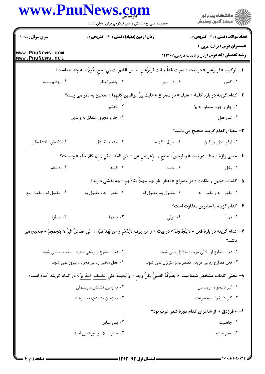|                                    | حضرت علی(ع): دانش راهبر نیکویی برای ایمان است                                                                                      |                                    | ِ<br>∭ دانشڪاه پيام نور<br>∭ مرڪز آزمون وسنڊش                                                                                                 |
|------------------------------------|------------------------------------------------------------------------------------------------------------------------------------|------------------------------------|-----------------------------------------------------------------------------------------------------------------------------------------------|
| <b>سری سوال :</b> یک ۱             | زمان آزمون (دقیقه) : تستی : 60 ٪ تشریحی : 0                                                                                        |                                    | تعداد سوالات : تستى : 30 قشريحى : 0                                                                                                           |
| www.PnuNews.com<br>www.PnuNews.net |                                                                                                                                    |                                    | عنــوان درس: قرائت عربي ۴<br><b>رشته تحصیلی/کد درس:</b> زبان و ادبیات فارسی1۲۱۳۰۱۹                                                            |
|                                    | ا–  تركيب « قريرُعين » در بيت « تموت غداً و انت قريرُعينٍ  /  من الشهوات في لججٍ تَعُومُ » به چه معناست؟                           |                                    |                                                                                                                                               |
| ۰۴ چشم بسته                        |                                                                                                                                    | ۰۲ دل سیر مسیر استظار میشود. تقطار | ۰۱ کامروا                                                                                                                                     |
|                                    | ۲- کدام گزینه در باره کلمهٔ « علیك » در مصراع « علیك ببرِّ الوالدین كلّیهِما » صحیح به نظر می رسد؟                                 |                                    |                                                                                                                                               |
|                                    | ۰۲ تحذیر                                                                                                                           |                                    | ۰۱ جار و جرور متعلق به برّ                                                                                                                    |
|                                    | ۰۴ جار و مجرور متعلق به والدين                                                                                                     |                                    | ۰۳ اسم فعل                                                                                                                                    |
|                                    |                                                                                                                                    |                                    | <b>۳</b> - معنای کدام گزینه صحیح می باشد؟                                                                                                     |
| ۰۴ لاتفش : افشا مكن                | ۰۳ حتف : گودال                                                                                                                     | ٢. خَرق : كهنه                     | ۰۱ ارقع : دل چرکين                                                                                                                            |
|                                    | ۴– معنى واژة « خنا » در بيت « و لبعضُ الصَفَحِ و الإعراضِ عن /  ذي الخَنَا  اَبقَي وَ اِن كان ظَلَم » چيست؟                        |                                    |                                                                                                                                               |
| ۰۴ دشنام                           | ۲. حسد است است کلینه                                                                                                               |                                    | ۰۱ بخل                                                                                                                                        |
|                                    |                                                                                                                                    |                                    | ۵– کلمات «جهل و مَقَادَت » در مصراع « اَعطَوا غواتَهم جهلاً مقادَتَهم » چه نقشی دارند؟                                                        |
| ۰۴ مفعول له ، مفعول مع             | ۰۳ مفعول به ، مفعول به                                                                                                             | ٠٢ مفعول به، مفعول له              | ۰۱ مفعول له و مفعول به                                                                                                                        |
|                                    |                                                                                                                                    |                                    | ۶- کدام گزینه با سایرین متفاوت است؟                                                                                                           |
| ۰۴ اعطُوا                          | ۰۳ سادوا                                                                                                                           |                                    | ١. تهدأُ السيسم المستقبل المستقبل المستقبل المستقبل المستقبل المستقبل المستقبل المستقبل المستقبل الم                                          |
|                                    |                                                                                                                                    |                                    | ٧- كدام گزينه در بارة فعل « لايَتَجَمجَمُ » در بيت « و من يوفِ لايُذمَم و من يُهدَ قَلبُه /  الي مطمئنٍّ البرِّ لا يتجمجمُ » صحيح مي<br>باشد؟ |
|                                    | ۰۲ فعل مضارع از رباعی مجرد : مضطرب نمی شود.                                                                                        |                                    | ۰۱ فعل مضارع از ثلاثی مزید : متزلزل نمی شود.                                                                                                  |
|                                    | ۰۴ فعل ماضی رباعی مجرد : پیروز نمی شود.                                                                                            |                                    | ۰۳ فعل مضارع رباعي مزيد : مضطرب و متزلزل نمي شود.                                                                                             |
|                                    | ٨– معنى كلمات مشخص شدة بيت: « يُصَرِّفُهُ الصَبِيُّ بكلِّ وجه / وَ يَحِسُهُ علي <u>الخَسف ِ الجَريرُ</u> » در كدام گزينه آمده است؟ |                                    |                                                                                                                                               |
|                                    | ۰۲ به زمین نشاندن ، ریسمان                                                                                                         |                                    | ٠١ كار دلبخواه ، ريسمان                                                                                                                       |
|                                    | ۰۴ به زمین نشاندن، به سرعت                                                                                                         |                                    | ۰۳ کار دلبخواه ، به سرعت                                                                                                                      |
|                                    |                                                                                                                                    |                                    | ۹– «فرزدق » از شاعران کدام دورهٔ شعر عرب بود؟                                                                                                 |
|                                    | ۰۲ بنی عباس                                                                                                                        |                                    | ۰۱ جاهلیت                                                                                                                                     |
|                                    | ۰۴ صدر اسلام و دورهٔ بنی امیه                                                                                                      |                                    | ۰۳ عصر جدید                                                                                                                                   |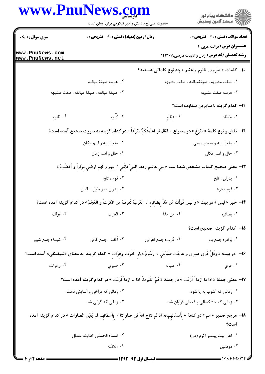|                                    | www.PnuNews.com<br>حضرت علی(ع): دانش راهبر نیکویی برای ایمان است                                                                  |                     | ِ<br>∭ دانشڪاه پيام نور<br>∭ مرڪز آزمون وسنڊش                                               |
|------------------------------------|-----------------------------------------------------------------------------------------------------------------------------------|---------------------|---------------------------------------------------------------------------------------------|
| <b>سری سوال : ۱ یک</b>             | <b>زمان آزمون (دقیقه) : تستی : 60 ٪ تشریحی : 0</b>                                                                                |                     | <b>تعداد سوالات : تستی : 30 ٪ تشریحی : 0</b>                                                |
| www.PnuNews.com<br>www.PnuNews.net |                                                                                                                                   |                     | <b>عنـــوان درس:</b> قرائت عربي ۴<br><b>رشته تحصیلی/کد درس:</b> زبان و ادبیات فارسی ۱۲۱۳۰۱۹ |
|                                    |                                                                                                                                   |                     | ∙ا− کلمات « صُروم ، ظُلوم و عقیم » چه نوع کلماتی هستند؟                                     |
|                                    | ۰۲ هرسه صيغهٔ مبالغه                                                                                                              |                     | ۰۱ صفت مشبهه ، صیغهٔمبالغه ، صفت مشبهه                                                      |
|                                    | ۰۴ صیغهٔ مبالغه ، صیغهٔ مبالغه ، صفت مشبهه                                                                                        |                     | ۰۳ هرسه صفت مشبهه                                                                           |
|                                    |                                                                                                                                   |                     | 11– كدام گزينه با سايرين متفاوت است؟                                                        |
| ۰۴ ظَلوم                           | ۰۳ کُلُوم                                                                                                                         | ۰۲ عظام             | ۰۱ ځسّاد                                                                                    |
|                                    | 1۲–  نقش و نوع کلمهٔ « مَفزَع » در مصراع « فقال لَو اَعلَمتَکَمُ مَفزَعاً » در کدام گزینه به صورت صحیح آمده است؟                  |                     |                                                                                             |
|                                    | ۰۲ مفعول به و اسم مکان                                                                                                            |                     | ۰۱ مفعول به و مصدر میمی                                                                     |
|                                    | ۰۴ حال و اسم زمان                                                                                                                 |                     | ۰۳ حال و اسم مکان                                                                           |
|                                    | ١٣- معنى صحيح كلمات مشخص شدة بيت « بني هاشم رهطِ النبيٍّ فإنَّني / بِهِم و لَهُم ارضَي مِرَاراً و اَغضَبُ »                       |                     |                                                                                             |
|                                    | ۰۲ قوم ، تلخ                                                                                                                      |                     | ۰۱ پدران ، تلخ                                                                              |
|                                    | ۰۴ پدران ، در طول ساليان                                                                                                          |                     | ۰۳ قوم ، بارها                                                                              |
|                                    | 1۴- خبر «ليس » در بيت « و ليس قَولُك مَن هَذَا بِضائِرِهِ /  العُربُ تَعرفُ من انكرتَ و العَجَمُ » در كدام گزينه آمده است؟        |                     |                                                                                             |
|                                    |                                                                                                                                   |                     |                                                                                             |
|                                    |                                                                                                                                   |                     | 1۵– کدام گزینه صحیح است؟                                                                    |
| ۰۴ شيمة: جمع شيم                   | ۰۳ اَکُفّ: جمع کافی                                                                                                               | ۰۲ عُرب: جمع اعرابي | ۰۱ بَوادر: جمع بادر                                                                         |
|                                    | ۱۶−٪ در بيت: « وفَلَّ عُرَي صبري و هاجَت صَبَابَتِي /  رُسُومُ ديارٍ اَقفَرَت وَعِرَاتٍ » كدام گزينه  به معناى «شيفتگى» آمده است؟ |                     |                                                                                             |
| ۰۴ وعرات                           |                                                                                                                                   |                     |                                                                                             |
|                                    | IV−  معنى جملة « اذا ما اَزمة ٌ اَزمَت » در جملة « هُمُ الغُيُوثُ اذا ما ازمةٌ اَزمَت » در كدام گزينه آمده است؟                   |                     |                                                                                             |
|                                    | ۲. زمانی که فراخی و آسایش دهند.                                                                                                   |                     | ۰۱ زمانی که آشوب به پا شود.                                                                 |
|                                    | ۰۴ زمانی که گرانی شد.                                                                                                             |                     | ۰۳ زمانی که خشکسالی و قحطی فراوان شد.                                                       |
|                                    | ١٨- مرجع ضمير « هم » در كلمة « بِأَسمَائهِم»،« اذ لم نناج اللهَ في صلواتِنا / بِأَسمَائهِم لم يُقبَل الصلوات » در كدام گزينه آمده |                     | است؟                                                                                        |
|                                    | ٢. اسماء الحسنى خداوند متعال                                                                                                      |                     | ٠١ اهل بيت پيامبر اكرم (ص)                                                                  |
|                                    | ۰۴ ملائکه                                                                                                                         |                     | ۰۳ مومنین                                                                                   |
|                                    |                                                                                                                                   |                     |                                                                                             |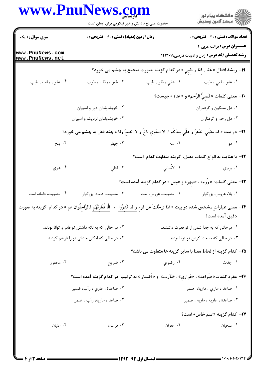|                                    | www.PnuNews.com<br>حضرت علی(ع): دانش راهبر نیکویی برای ایمان است<br><b>زمان آزمون (دقیقه) : تستی : 60 ٪ تشریحی : 0</b>                |                                                                                                     | ر<br>دانشڪاه پيام نور)<br>اڳ مرڪز آزمون وسنڊش<br><b>تعداد سوالات : تستی : 30 ٪ تشریحی : 0</b> |  |
|------------------------------------|---------------------------------------------------------------------------------------------------------------------------------------|-----------------------------------------------------------------------------------------------------|-----------------------------------------------------------------------------------------------|--|
| <b>سری سوال : ۱ یک</b>             |                                                                                                                                       |                                                                                                     |                                                                                               |  |
| www.PnuNews.com<br>www.PnuNews.net |                                                                                                                                       |                                                                                                     | عنــوان درس: قرائت عربی ۴<br><b>رشته تحصیلی/کد درس:</b> زبان و ادبیات فارسی ۱۲۱۳۰۱۹           |  |
|                                    |                                                                                                                                       | ١٩- ريشة افعال « عَفَا ، قفا و طيبي » در كدام گزينه بصورت صحيح به چشم مى خورد؟                      |                                                                                               |  |
| ۰۴ عفو ، وقف ، طيب                 | ۰۳ غفو ، وقف ، طوب                                                                                                                    | ۰۲ عفي ، قفو ، طيب                                                                                  | <b>۱.</b> عفو ، قفي ، طيب                                                                     |  |
|                                    |                                                                                                                                       |                                                                                                     | +٢- معنى كلمات « قَصِيُّ الرَّحم» و « عناة » چيست؟                                            |  |
|                                    | ۰۲ خویشاوندان دور و اسیران                                                                                                            |                                                                                                     | ۰۱ دل سنگین و گرفتاران                                                                        |  |
|                                    | ۰۴ خویشاوندان نزدیک و اسیران                                                                                                          |                                                                                                     | ۰۳ دل رحم و گرفتاران                                                                          |  |
|                                    | ا٢-  در بيت « قد مضَي الدَّهرُ و عفِّي بعدَكُم /  لا الجَوي باخَ و لا الدمعُ رقا » چند فعل به چشم مى خورد؟                            |                                                                                                     |                                                                                               |  |
| ۰۴ پنج                             | ۰۳ چهار                                                                                                                               | ۲. سه                                                                                               | ۰۱ دو                                                                                         |  |
|                                    |                                                                                                                                       | <b>٢٢</b> – با عنايت به انواع كلمات معتل، گزينه متفاوت كدام  است؟                                   |                                                                                               |  |
| ۰۴ هوي                             |                                                                                                                                       | ٢. لاتَّداني مستخدم من الله عنايي الله عنه الله عنه الله عنه الله عنه الله عنه الله عنه الله عنه ال | ۰۱ پروي                                                                                       |  |
|                                    |                                                                                                                                       |                                                                                                     | ۲۳– معنی کلمات: « زُرء» ، «صهر» و «جَیل » در کدام گزینه آمده است؟                             |  |
| ۰۴ مصیبت، داماد، امت               | ۰۳ مصیبت، داماد، بزرگوار                                                                                                              | ۰۲ مصيبت، عروس، امت                                                                                 | ۰۱ بلا، عروس، بزرگوار                                                                         |  |
|                                    | ۲۴− معنی عباراتِ مشخص شده در بیت « اذا ترحَّلتَ عن قومٍ و قد قَدرُوا ِ / الَّا تُفَارِقَهُم فالرَّاحِلُوان هم » در کدام گزینه به صورت |                                                                                                     |                                                                                               |  |
|                                    |                                                                                                                                       |                                                                                                     | دقیق آمده است؟                                                                                |  |
|                                    | ۰۲ در حالی که به نگه داشتن تو قادر و توانا بودند.                                                                                     |                                                                                                     | ۰۱ درحالی که به جدا شدن از تو قدرت داشتند.                                                    |  |
|                                    | ۰۴ در حالی که امکان جدائی تو را فراهم کردند.                                                                                          |                                                                                                     | ۰۳ در حالي كه به جدا كردن تو توانا بودند.                                                     |  |
|                                    |                                                                                                                                       | ۲۵– کدام گزینه از لحاظ معنا با سایر گزینه ها متفاوت می باشد؟                                        |                                                                                               |  |
| ۰۴ محفور                           | ۰۳ ضریح                                                                                                                               | ۰۲ رضوي                                                                                             | ۱. جدث                                                                                        |  |
|                                    | ۲۶- مفردِ کلمات« صَواعد» ، «عَواري» ، «مَآرب» و « اَضمار » به ترتیب در کدام گزینه آمده است؟                                           |                                                                                                     |                                                                                               |  |
|                                    | ۰۲ صاعدة ، عاري ، رأب، ضمير                                                                                                           |                                                                                                     | <b>۱.</b> صاعد ، عاري ، مآربة، ضمر                                                            |  |
|                                    | ۰۴ صاعد ، عارية، رأب ، ضمر                                                                                                            |                                                                                                     | ۰۳ صاعدة ، عارية ، ماربة ، ضمير                                                               |  |
|                                    |                                                                                                                                       |                                                                                                     | <b>۳۷- کدام گزینه «اسم خاص» است؟</b>                                                          |  |
| ۰۴ غنیان                           | ۰۳ فرسان                                                                                                                              | ۰۲ معوان                                                                                            | ۰۱ سحبان                                                                                      |  |